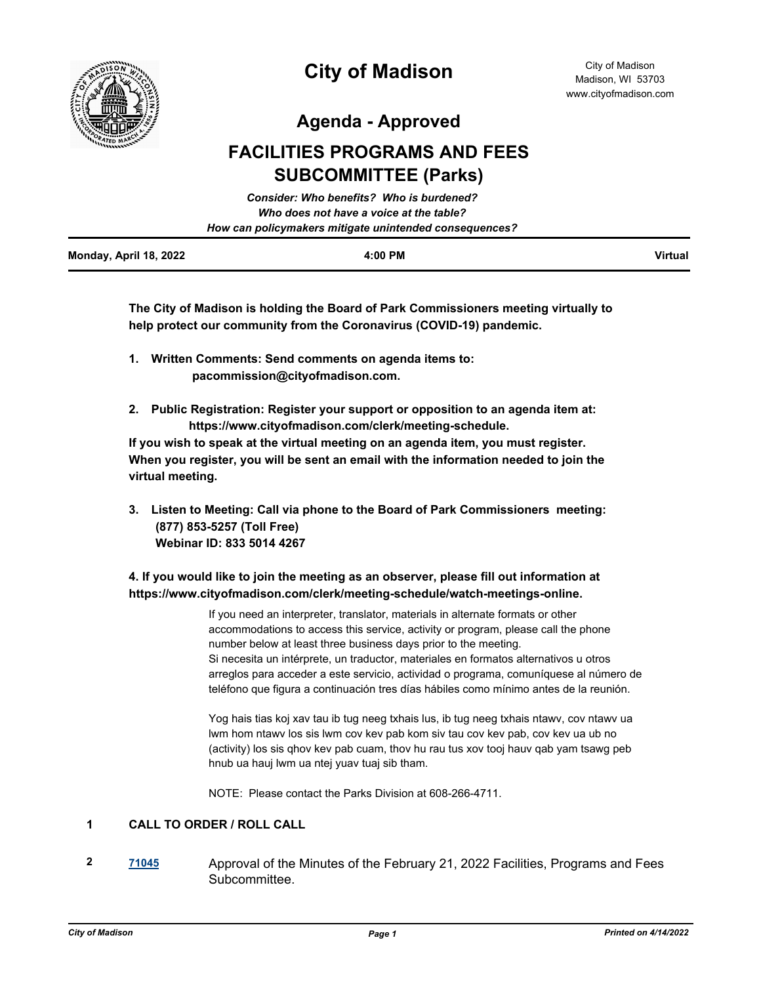

**Agenda - Approved**

# **FACILITIES PROGRAMS AND FEES SUBCOMMITTEE (Parks)**

|                        | Consider: Who benefits? Who is burdened?               |                |
|------------------------|--------------------------------------------------------|----------------|
|                        | Who does not have a voice at the table?                |                |
|                        | How can policymakers mitigate unintended consequences? |                |
| Monday, April 18, 2022 | 4:00 PM                                                | <b>Virtual</b> |

**The City of Madison is holding the Board of Park Commissioners meeting virtually to help protect our community from the Coronavirus (COVID-19) pandemic.**

- **1. Written Comments: Send comments on agenda items to: pacommission@cityofmadison.com.**
- **2. Public Registration: Register your support or opposition to an agenda item at: https://www.cityofmadison.com/clerk/meeting-schedule.**

**If you wish to speak at the virtual meeting on an agenda item, you must register. When you register, you will be sent an email with the information needed to join the virtual meeting.**

**3. Listen to Meeting: Call via phone to the Board of Park Commissioners meeting: (877) 853-5257 (Toll Free) Webinar ID: 833 5014 4267**

## **4. If you would like to join the meeting as an observer, please fill out information at https://www.cityofmadison.com/clerk/meeting-schedule/watch-meetings-online.**

If you need an interpreter, translator, materials in alternate formats or other accommodations to access this service, activity or program, please call the phone number below at least three business days prior to the meeting. Si necesita un intérprete, un traductor, materiales en formatos alternativos u otros arreglos para acceder a este servicio, actividad o programa, comuníquese al número de teléfono que figura a continuación tres días hábiles como mínimo antes de la reunión.

Yog hais tias koj xav tau ib tug neeg txhais lus, ib tug neeg txhais ntawv, cov ntawv ua lwm hom ntawv los sis lwm cov kev pab kom siv tau cov kev pab, cov kev ua ub no (activity) los sis qhov kev pab cuam, thov hu rau tus xov tooj hauv qab yam tsawg peb hnub ua hauj lwm ua ntej yuav tuaj sib tham.

NOTE: Please contact the Parks Division at 608-266-4711.

## **1 CALL TO ORDER / ROLL CALL**

**2 [71045](http://madison.legistar.com/gateway.aspx?m=l&id=/matter.aspx?key=83002)** Approval of the Minutes of the February 21, 2022 Facilities, Programs and Fees Subcommittee.